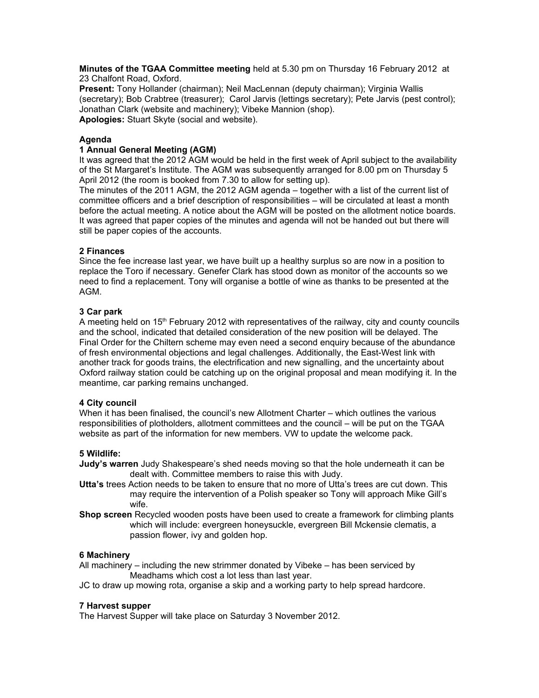**Minutes of the TGAA Committee meeting** held at 5.30 pm on Thursday 16 February 2012 at 23 Chalfont Road, Oxford.

**Present:** Tony Hollander (chairman); Neil MacLennan (deputy chairman); Virginia Wallis (secretary); Bob Crabtree (treasurer); Carol Jarvis (lettings secretary); Pete Jarvis (pest control); Jonathan Clark (website and machinery); Vibeke Mannion (shop). **Apologies:** Stuart Skyte (social and website).

# **Agenda**

## **1 Annual General Meeting (AGM)**

It was agreed that the 2012 AGM would be held in the first week of April subject to the availability of the St Margaret's Institute. The AGM was subsequently arranged for 8.00 pm on Thursday 5 April 2012 (the room is booked from 7.30 to allow for setting up).

The minutes of the 2011 AGM, the 2012 AGM agenda – together with a list of the current list of committee officers and a brief description of responsibilities – will be circulated at least a month before the actual meeting. A notice about the AGM will be posted on the allotment notice boards. It was agreed that paper copies of the minutes and agenda will not be handed out but there will still be paper copies of the accounts.

## **2 Finances**

Since the fee increase last year, we have built up a healthy surplus so are now in a position to replace the Toro if necessary. Genefer Clark has stood down as monitor of the accounts so we need to find a replacement. Tony will organise a bottle of wine as thanks to be presented at the AGM.

## **3 Car park**

A meeting held on  $15<sup>th</sup>$  February 2012 with representatives of the railway, city and county councils and the school, indicated that detailed consideration of the new position will be delayed. The Final Order for the Chiltern scheme may even need a second enquiry because of the abundance of fresh environmental objections and legal challenges. Additionally, the East-West link with another track for goods trains, the electrification and new signalling, and the uncertainty about Oxford railway station could be catching up on the original proposal and mean modifying it. In the meantime, car parking remains unchanged.

#### **4 City council**

When it has been finalised, the council's new Allotment Charter – which outlines the various responsibilities of plotholders, allotment committees and the council – will be put on the TGAA website as part of the information for new members. VW to update the welcome pack.

#### **5 Wildlife:**

**Judy's warren** Judy Shakespeare's shed needs moving so that the hole underneath it can be dealt with. Committee members to raise this with Judy.

- **Utta's** trees Action needs to be taken to ensure that no more of Utta's trees are cut down. This may require the intervention of a Polish speaker so Tony will approach Mike Gill's wife.
- **Shop screen** Recycled wooden posts have been used to create a framework for climbing plants which will include: evergreen honeysuckle, evergreen Bill Mckensie clematis, a passion flower, ivy and golden hop.

#### **6 Machinery**

All machinery – including the new strimmer donated by Vibeke – has been serviced by Meadhams which cost a lot less than last year.

JC to draw up mowing rota, organise a skip and a working party to help spread hardcore.

# **7 Harvest supper**

The Harvest Supper will take place on Saturday 3 November 2012.